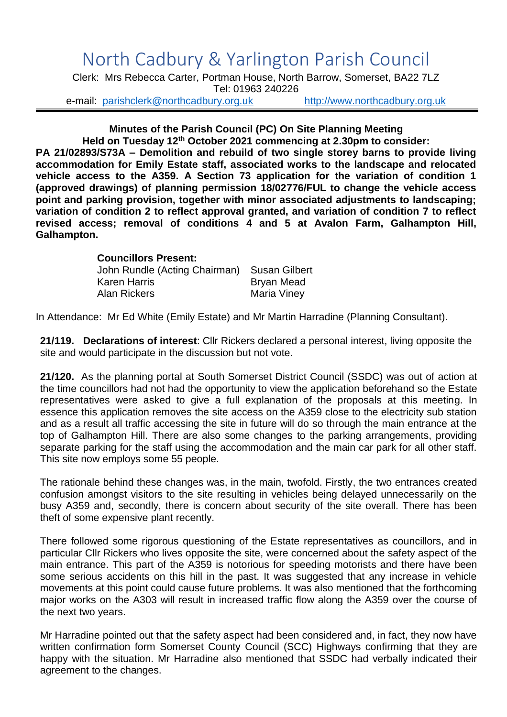## North Cadbury & Yarlington Parish Council

Clerk: Mrs Rebecca Carter, Portman House, North Barrow, Somerset, BA22 7LZ Tel: 01963 240226

e-mail: [parishclerk@northcadbury.org.uk](mailto:parishclerk@northcadbury.org.uk) [http://www.northcadbury.org.uk](http://www.northcadbury.org.uk/)

## **Minutes of the Parish Council (PC) On Site Planning Meeting**

**Held on Tuesday 12th October 2021 commencing at 2.30pm to consider: PA 21/02893/S73A – Demolition and rebuild of two single storey barns to provide living accommodation for Emily Estate staff, associated works to the landscape and relocated vehicle access to the A359. A Section 73 application for the variation of condition 1 (approved drawings) of planning permission 18/02776/FUL to change the vehicle access point and parking provision, together with minor associated adjustments to landscaping; variation of condition 2 to reflect approval granted, and variation of condition 7 to reflect revised access; removal of conditions 4 and 5 at Avalon Farm, Galhampton Hill, Galhampton.**

## **Councillors Present:** John Rundle (Acting Chairman) Susan Gilbert Karen Harris **Bryan Mead** Alan Rickers **Maria Viney**

In Attendance: Mr Ed White (Emily Estate) and Mr Martin Harradine (Planning Consultant).

**21/119. Declarations of interest**: Cllr Rickers declared a personal interest, living opposite the site and would participate in the discussion but not vote.

**21/120.** As the planning portal at South Somerset District Council (SSDC) was out of action at the time councillors had not had the opportunity to view the application beforehand so the Estate representatives were asked to give a full explanation of the proposals at this meeting. In essence this application removes the site access on the A359 close to the electricity sub station and as a result all traffic accessing the site in future will do so through the main entrance at the top of Galhampton Hill. There are also some changes to the parking arrangements, providing separate parking for the staff using the accommodation and the main car park for all other staff. This site now employs some 55 people.

The rationale behind these changes was, in the main, twofold. Firstly, the two entrances created confusion amongst visitors to the site resulting in vehicles being delayed unnecessarily on the busy A359 and, secondly, there is concern about security of the site overall. There has been theft of some expensive plant recently.

There followed some rigorous questioning of the Estate representatives as councillors, and in particular Cllr Rickers who lives opposite the site, were concerned about the safety aspect of the main entrance. This part of the A359 is notorious for speeding motorists and there have been some serious accidents on this hill in the past. It was suggested that any increase in vehicle movements at this point could cause future problems. It was also mentioned that the forthcoming major works on the A303 will result in increased traffic flow along the A359 over the course of the next two years.

Mr Harradine pointed out that the safety aspect had been considered and, in fact, they now have written confirmation form Somerset County Council (SCC) Highways confirming that they are happy with the situation. Mr Harradine also mentioned that SSDC had verbally indicated their agreement to the changes.